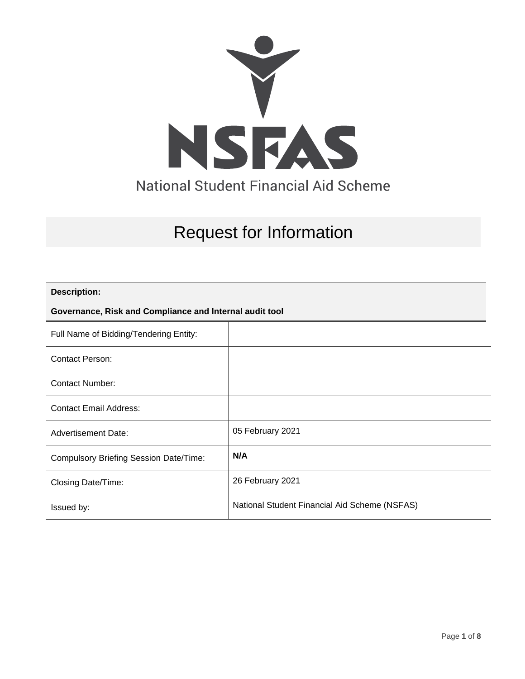

# Request for Information

### **Description:**

### **Governance, Risk and Compliance and Internal audit tool**

| Full Name of Bidding/Tendering Entity:        |                                               |
|-----------------------------------------------|-----------------------------------------------|
| Contact Person:                               |                                               |
| Contact Number:                               |                                               |
| <b>Contact Email Address:</b>                 |                                               |
| <b>Advertisement Date:</b>                    | 05 February 2021                              |
| <b>Compulsory Briefing Session Date/Time:</b> | N/A                                           |
| Closing Date/Time:                            | 26 February 2021                              |
| Issued by:                                    | National Student Financial Aid Scheme (NSFAS) |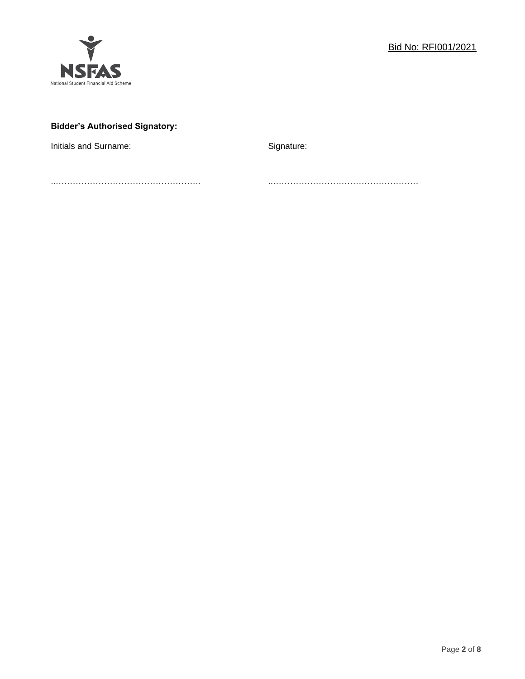

### **Bidder's Authorised Signatory:**

Initials and Surname: The Signature: Signature:

..…………………………………………… ..……………………………………………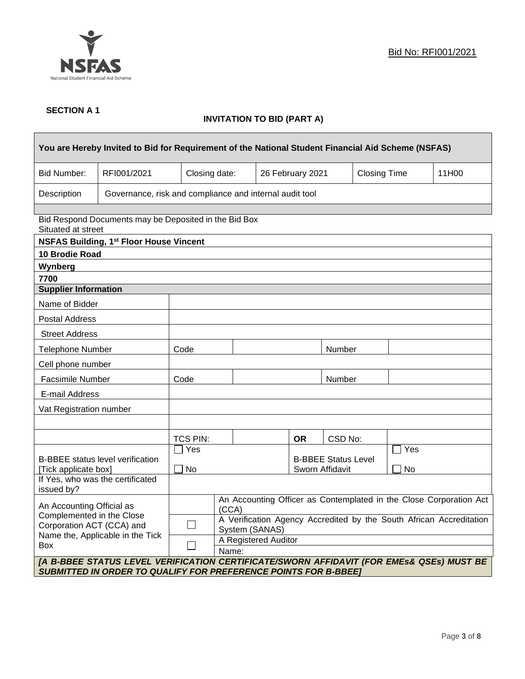

٦

### **SECTION A 1**

 $\mathsf{r}$ 

### **INVITATION TO BID (PART A)**

| You are Hereby Invited to Bid for Requirement of the National Student Financial Aid Scheme (NSFAS)                                                                 |                                                                                                         |                                                                                                                      |       |                                               |           |         |                     |     |       |
|--------------------------------------------------------------------------------------------------------------------------------------------------------------------|---------------------------------------------------------------------------------------------------------|----------------------------------------------------------------------------------------------------------------------|-------|-----------------------------------------------|-----------|---------|---------------------|-----|-------|
| <b>Bid Number:</b>                                                                                                                                                 | RFI001/2021                                                                                             | Closing date:                                                                                                        |       | 26 February 2021                              |           |         | <b>Closing Time</b> |     | 11H00 |
| Description                                                                                                                                                        | Governance, risk and compliance and internal audit tool                                                 |                                                                                                                      |       |                                               |           |         |                     |     |       |
| Situated at street                                                                                                                                                 | Bid Respond Documents may be Deposited in the Bid Box<br><b>NSFAS Building, 1st Floor House Vincent</b> |                                                                                                                      |       |                                               |           |         |                     |     |       |
| 10 Brodie Road                                                                                                                                                     |                                                                                                         |                                                                                                                      |       |                                               |           |         |                     |     |       |
| Wynberg                                                                                                                                                            |                                                                                                         |                                                                                                                      |       |                                               |           |         |                     |     |       |
| 7700                                                                                                                                                               |                                                                                                         |                                                                                                                      |       |                                               |           |         |                     |     |       |
| <b>Supplier Information</b>                                                                                                                                        |                                                                                                         |                                                                                                                      |       |                                               |           |         |                     |     |       |
| Name of Bidder                                                                                                                                                     |                                                                                                         |                                                                                                                      |       |                                               |           |         |                     |     |       |
| <b>Postal Address</b>                                                                                                                                              |                                                                                                         |                                                                                                                      |       |                                               |           |         |                     |     |       |
| <b>Street Address</b>                                                                                                                                              |                                                                                                         |                                                                                                                      |       |                                               |           |         |                     |     |       |
| Telephone Number                                                                                                                                                   |                                                                                                         | Code                                                                                                                 |       |                                               |           | Number  |                     |     |       |
| Cell phone number                                                                                                                                                  |                                                                                                         |                                                                                                                      |       |                                               |           |         |                     |     |       |
| Facsimile Number                                                                                                                                                   |                                                                                                         | Code                                                                                                                 |       |                                               | Number    |         |                     |     |       |
| E-mail Address                                                                                                                                                     |                                                                                                         |                                                                                                                      |       |                                               |           |         |                     |     |       |
| Vat Registration number                                                                                                                                            |                                                                                                         |                                                                                                                      |       |                                               |           |         |                     |     |       |
|                                                                                                                                                                    |                                                                                                         |                                                                                                                      |       |                                               |           |         |                     |     |       |
|                                                                                                                                                                    |                                                                                                         | TCS PIN:                                                                                                             |       |                                               | <b>OR</b> | CSD No: |                     |     |       |
|                                                                                                                                                                    |                                                                                                         | Yes                                                                                                                  |       |                                               |           |         |                     | Yes |       |
| <b>B-BBEE</b> status level verification<br>[Tick applicate box]                                                                                                    |                                                                                                         | No                                                                                                                   |       | <b>B-BBEE Status Level</b><br>Sworn Affidavit |           |         | No                  |     |       |
| issued by?                                                                                                                                                         | If Yes, who was the certificated                                                                        |                                                                                                                      |       |                                               |           |         |                     |     |       |
|                                                                                                                                                                    | An Accounting Officer as Contemplated in the Close Corporation Act                                      |                                                                                                                      |       |                                               |           |         |                     |     |       |
| An Accounting Official as<br>Complemented in the Close<br>Corporation ACT (CCA) and<br>Name the, Applicable in the Tick                                            |                                                                                                         | (CCA)                                                                                                                |       |                                               |           |         |                     |     |       |
|                                                                                                                                                                    |                                                                                                         | A Verification Agency Accredited by the South African Accreditation<br>$\mathcal{L}_{\mathcal{A}}$<br>System (SANAS) |       |                                               |           |         |                     |     |       |
|                                                                                                                                                                    |                                                                                                         | A Registered Auditor                                                                                                 |       |                                               |           |         |                     |     |       |
| Box                                                                                                                                                                |                                                                                                         | ×.                                                                                                                   | Name: |                                               |           |         |                     |     |       |
| [A B-BBEE STATUS LEVEL VERIFICATION CERTIFICATE/SWORN AFFIDAVIT (FOR EMES& QSEs) MUST BE<br><b>SUBMITTED IN ORDER TO QUALIFY FOR PREFERENCE POINTS FOR B-BBEET</b> |                                                                                                         |                                                                                                                      |       |                                               |           |         |                     |     |       |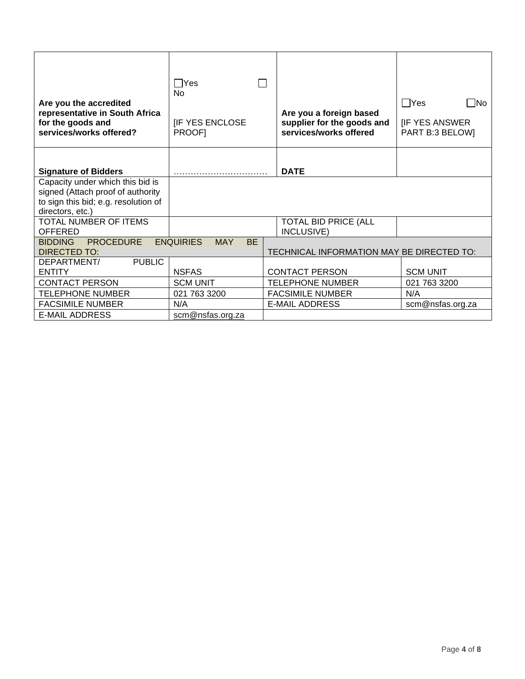| Are you the accredited<br>representative in South Africa<br>for the goods and<br>services/works offered? | l lYes<br><b>No</b><br><b>IF YES ENCLOSE</b><br>PROOF] | Are you a foreign based<br>supplier for the goods and<br>services/works offered | $\sqcap$ Yes<br>$\square$ No<br><b>IF YES ANSWER</b><br>PART B:3 BELOW] |  |  |  |
|----------------------------------------------------------------------------------------------------------|--------------------------------------------------------|---------------------------------------------------------------------------------|-------------------------------------------------------------------------|--|--|--|
|                                                                                                          |                                                        |                                                                                 |                                                                         |  |  |  |
| <b>Signature of Bidders</b>                                                                              |                                                        | <b>DATE</b>                                                                     |                                                                         |  |  |  |
| Capacity under which this bid is                                                                         |                                                        |                                                                                 |                                                                         |  |  |  |
| signed (Attach proof of authority                                                                        |                                                        |                                                                                 |                                                                         |  |  |  |
| to sign this bid; e.g. resolution of<br>directors, etc.)                                                 |                                                        |                                                                                 |                                                                         |  |  |  |
| TOTAL NUMBER OF ITEMS                                                                                    |                                                        | <b>TOTAL BID PRICE (ALL</b>                                                     |                                                                         |  |  |  |
| <b>OFFERED</b>                                                                                           |                                                        | INCLUSIVE)                                                                      |                                                                         |  |  |  |
| <b>PROCEDURE</b><br><b>BIDDING</b>                                                                       | <b>ENQUIRIES</b><br><b>BE</b><br><b>MAY</b>            |                                                                                 |                                                                         |  |  |  |
| DIRECTED TO:                                                                                             |                                                        | TECHNICAL INFORMATION MAY BE DIRECTED TO:                                       |                                                                         |  |  |  |
| DEPARTMENT/<br><b>PUBLIC</b>                                                                             |                                                        |                                                                                 |                                                                         |  |  |  |
| <b>ENTITY</b>                                                                                            | <b>NSFAS</b>                                           | <b>CONTACT PERSON</b>                                                           | <b>SCM UNIT</b>                                                         |  |  |  |
| <b>CONTACT PERSON</b>                                                                                    | <b>SCM UNIT</b>                                        | <b>TELEPHONE NUMBER</b>                                                         | 021 763 3200                                                            |  |  |  |
| <b>TELEPHONE NUMBER</b>                                                                                  | 021 763 3200                                           | <b>FACSIMILE NUMBER</b>                                                         | N/A                                                                     |  |  |  |
| <b>FACSIMILE NUMBER</b>                                                                                  | N/A                                                    | <b>E-MAIL ADDRESS</b>                                                           | scm@nsfas.org.za                                                        |  |  |  |
| <b>E-MAIL ADDRESS</b>                                                                                    | scm@nsfas.org.za                                       |                                                                                 |                                                                         |  |  |  |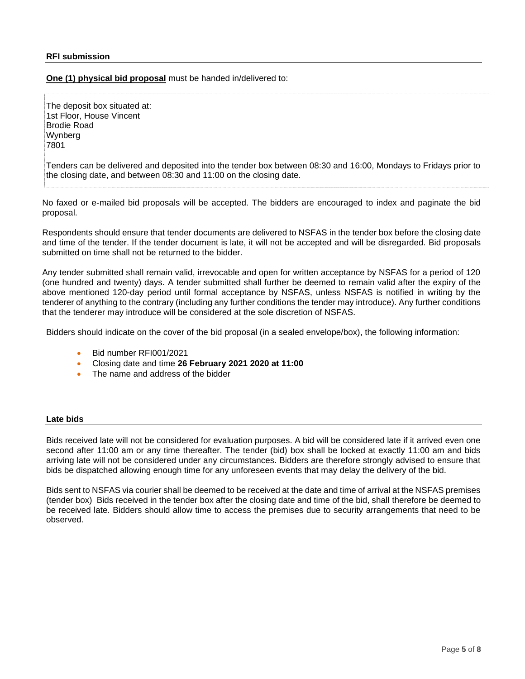#### **RFI submission**

**One (1) physical bid proposal** must be handed in/delivered to:

The deposit box situated at: 1st Floor, House Vincent Brodie Road Wynberg 7801

Tenders can be delivered and deposited into the tender box between 08:30 and 16:00, Mondays to Fridays prior to the closing date, and between 08:30 and 11:00 on the closing date.

No faxed or e-mailed bid proposals will be accepted. The bidders are encouraged to index and paginate the bid proposal.

Respondents should ensure that tender documents are delivered to NSFAS in the tender box before the closing date and time of the tender. If the tender document is late, it will not be accepted and will be disregarded. Bid proposals submitted on time shall not be returned to the bidder.

Any tender submitted shall remain valid, irrevocable and open for written acceptance by NSFAS for a period of 120 (one hundred and twenty) days. A tender submitted shall further be deemed to remain valid after the expiry of the above mentioned 120-day period until formal acceptance by NSFAS, unless NSFAS is notified in writing by the tenderer of anything to the contrary (including any further conditions the tender may introduce). Any further conditions that the tenderer may introduce will be considered at the sole discretion of NSFAS.

Bidders should indicate on the cover of the bid proposal (in a sealed envelope/box), the following information:

- Bid number RFI001/2021
- Closing date and time **26 February 2021 2020 at 11:00**
- The name and address of the bidder

#### **Late bids**

Bids received late will not be considered for evaluation purposes. A bid will be considered late if it arrived even one second after 11:00 am or any time thereafter. The tender (bid) box shall be locked at exactly 11:00 am and bids arriving late will not be considered under any circumstances. Bidders are therefore strongly advised to ensure that bids be dispatched allowing enough time for any unforeseen events that may delay the delivery of the bid.

Bids sent to NSFAS via courier shall be deemed to be received at the date and time of arrival at the NSFAS premises (tender box) Bids received in the tender box after the closing date and time of the bid, shall therefore be deemed to be received late. Bidders should allow time to access the premises due to security arrangements that need to be observed.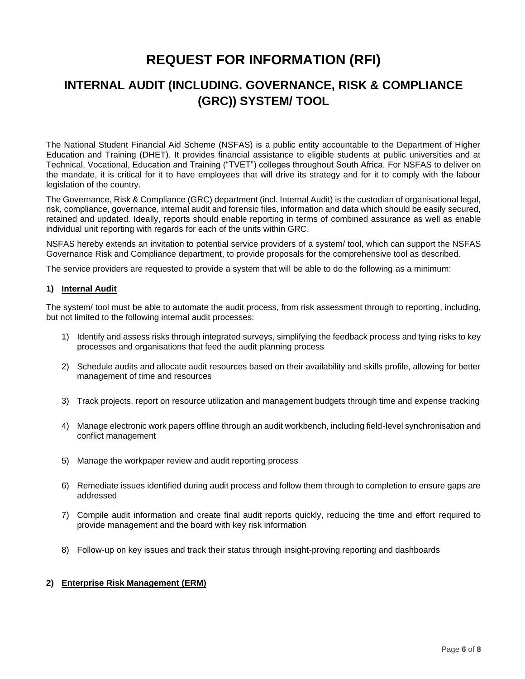# **REQUEST FOR INFORMATION (RFI)**

## **INTERNAL AUDIT (INCLUDING. GOVERNANCE, RISK & COMPLIANCE (GRC)) SYSTEM/ TOOL**

The National Student Financial Aid Scheme (NSFAS) is a public entity accountable to the Department of Higher Education and Training (DHET). It provides financial assistance to eligible students at public universities and at Technical, Vocational, Education and Training ("TVET") colleges throughout South Africa. For NSFAS to deliver on the mandate, it is critical for it to have employees that will drive its strategy and for it to comply with the labour legislation of the country.

The Governance, Risk & Compliance (GRC) department (incl. Internal Audit) is the custodian of organisational legal, risk, compliance, governance, internal audit and forensic files, information and data which should be easily secured, retained and updated. Ideally, reports should enable reporting in terms of combined assurance as well as enable individual unit reporting with regards for each of the units within GRC.

NSFAS hereby extends an invitation to potential service providers of a system/ tool, which can support the NSFAS Governance Risk and Compliance department, to provide proposals for the comprehensive tool as described.

The service providers are requested to provide a system that will be able to do the following as a minimum:

### **1) Internal Audit**

The system/ tool must be able to automate the audit process, from risk assessment through to reporting, including, but not limited to the following internal audit processes:

- 1) Identify and assess risks through integrated surveys, simplifying the feedback process and tying risks to key processes and organisations that feed the audit planning process
- 2) Schedule audits and allocate audit resources based on their availability and skills profile, allowing for better management of time and resources
- 3) Track projects, report on resource utilization and management budgets through time and expense tracking
- 4) Manage electronic work papers offline through an audit workbench, including field-level synchronisation and conflict management
- 5) Manage the workpaper review and audit reporting process
- 6) Remediate issues identified during audit process and follow them through to completion to ensure gaps are addressed
- 7) Compile audit information and create final audit reports quickly, reducing the time and effort required to provide management and the board with key risk information
- 8) Follow-up on key issues and track their status through insight-proving reporting and dashboards

### **2) Enterprise Risk Management (ERM)**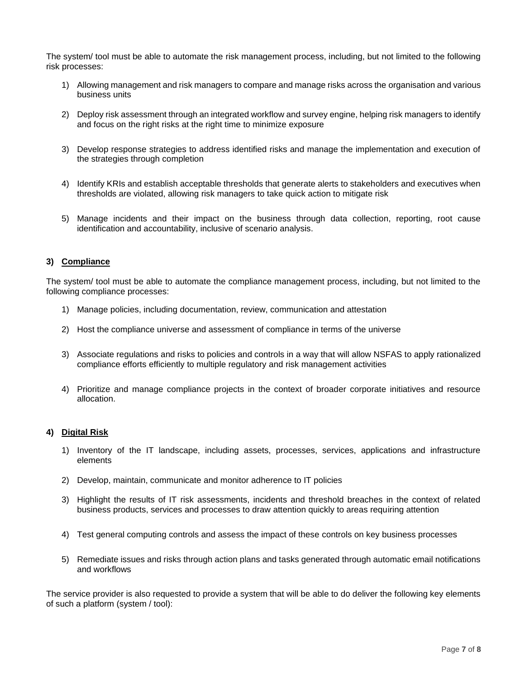The system/ tool must be able to automate the risk management process, including, but not limited to the following risk processes:

- 1) Allowing management and risk managers to compare and manage risks across the organisation and various business units
- 2) Deploy risk assessment through an integrated workflow and survey engine, helping risk managers to identify and focus on the right risks at the right time to minimize exposure
- 3) Develop response strategies to address identified risks and manage the implementation and execution of the strategies through completion
- 4) Identify KRIs and establish acceptable thresholds that generate alerts to stakeholders and executives when thresholds are violated, allowing risk managers to take quick action to mitigate risk
- 5) Manage incidents and their impact on the business through data collection, reporting, root cause identification and accountability, inclusive of scenario analysis.

### **3) Compliance**

The system/ tool must be able to automate the compliance management process, including, but not limited to the following compliance processes:

- 1) Manage policies, including documentation, review, communication and attestation
- 2) Host the compliance universe and assessment of compliance in terms of the universe
- 3) Associate regulations and risks to policies and controls in a way that will allow NSFAS to apply rationalized compliance efforts efficiently to multiple regulatory and risk management activities
- 4) Prioritize and manage compliance projects in the context of broader corporate initiatives and resource allocation.

### **4) Digital Risk**

- 1) Inventory of the IT landscape, including assets, processes, services, applications and infrastructure elements
- 2) Develop, maintain, communicate and monitor adherence to IT policies
- 3) Highlight the results of IT risk assessments, incidents and threshold breaches in the context of related business products, services and processes to draw attention quickly to areas requiring attention
- 4) Test general computing controls and assess the impact of these controls on key business processes
- 5) Remediate issues and risks through action plans and tasks generated through automatic email notifications and workflows

The service provider is also requested to provide a system that will be able to do deliver the following key elements of such a platform (system / tool):